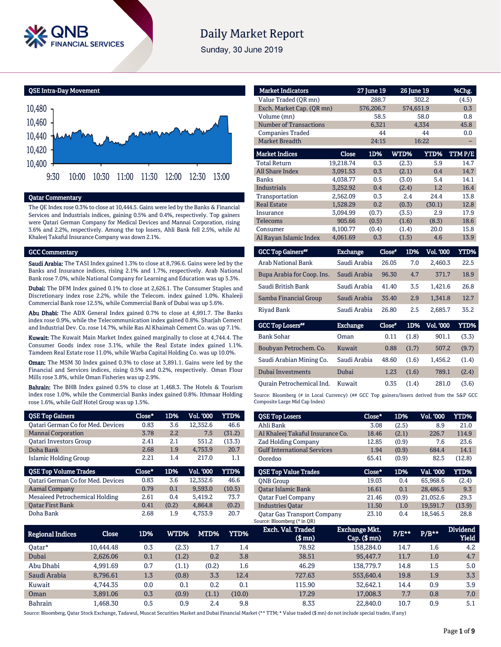

# **Daily Market Report**

Sunday, 30 June 2019

QSE Intra-Day Movement



## Qatar Commentary

The QE Index rose 0.3% to close at 10,444.5. Gains were led by the Banks & Financial Services and Industrials indices, gaining 0.5% and 0.4%, respectively. Top gainers were Qatari German Company for Medical Devices and Mannai Corporation, rising 3.6% and 2.2%, respectively. Among the top losers, Ahli Bank fell 2.5%, while Al Khaleej Takaful Insurance Company was down 2.1%.

### GCC Commentary

Saudi Arabia: The TASI Index gained 1.3% to close at 8,796.6. Gains were led by the Banks and Insurance indices, rising 2.1% and 1.7%, respectively. Arab National Bank rose 7.0%, while National Company for Learning and Education was up 5.3%.

Dubai: The DFM Index gained 0.1% to close at 2,626.1. The Consumer Staples and Discretionary index rose 2.2%, while the Telecom. index gained 1.0%. Khaleeji Commercial Bank rose 12.5%, while Commercial Bank of Dubai was up 5.6%.

Abu Dhabi: The ADX General Index gained 0.7% to close at 4,991.7. The Banks index rose 0.9%, while the Telecommunication index gained 0.8%. Sharjah Cement and Industrial Dev. Co. rose 14.7%, while Ras Al Khaimah Cement Co. was up 7.1%.

Kuwait: The Kuwait Main Market Index gained marginally to close at 4,744.4. The Consumer Goods index rose 3.1%, while the Real Estate index gained 1.1%. Tamdeen Real Estate rose 11.0%, while Warba Capital Holding Co. was up 10.0%.

Oman: The MSM 30 Index gained 0.3% to close at 3,891.1. Gains were led by the Financial and Services indices, rising 0.5% and 0.2%, respectively. Oman Flour Mills rose 3.8%, while Oman Fisheries was up 2.9%.

Bahrain: The BHB Index gained 0.5% to close at 1,468.3. The Hotels & Tourism index rose 1.0%, while the Commercial Banks index gained 0.8%. Ithmaar Holding rose 1.6%, while Gulf Hotel Group was up 1.5%.

| <b>QSE Top Gainers</b>                   | Close* | 1D%   | <b>Vol. '000</b> | YTD%   |
|------------------------------------------|--------|-------|------------------|--------|
| <b>Qatari German Co for Med. Devices</b> | 0.83   | 3.6   | 12,352.6         | 46.6   |
| <b>Mannai Corporation</b>                | 3.78   | 2.2   | 7.5              | (31.2) |
| <b>Oatari Investors Group</b>            | 2.41   | 2.1   | 551.2            | (13.3) |
| Doha Bank                                | 2.68   | 1.9   | 4,753.9          | 20.7   |
| Islamic Holding Group                    | 2.21   | 1.4   | 217.0            | 1.1    |
|                                          |        |       |                  |        |
| <b>QSE Top Volume Trades</b>             | Close* | 1D%   | Vol. '000        | YTD%   |
| <b>Qatari German Co for Med. Devices</b> | 0.83   | 3.6   | 12.352.6         | 46.6   |
| <b>Aamal Company</b>                     | 0.79   | 0.1   | 9.593.0          | (10.5) |
| <b>Mesaieed Petrochemical Holding</b>    | 2.61   | 0.4   | 5.419.2          | 73.7   |
| <b>Oatar First Bank</b>                  | 0.41   | (0.2) | 4.864.8          | (0.2)  |

| <b>Market Indicators</b>      |                 | 27 June 19 | <b>26 June 19</b> |             | %Chg.  |
|-------------------------------|-----------------|------------|-------------------|-------------|--------|
| Value Traded (QR mn)          |                 | 288.7      |                   | 302.2       | (4.5)  |
| Exch. Market Cap. (QR mn)     |                 | 576,206.7  | 574,651.9         |             | 0.3    |
| Volume (mn)                   |                 | 58.5       |                   | 58.0        | 0.8    |
| <b>Number of Transactions</b> |                 | 6,321      |                   | 4,334       | 45.8   |
| <b>Companies Traded</b>       |                 | 44         |                   | 44          | 0.0    |
| Market Breadth                |                 | 24:15      |                   | 16:22       |        |
| <b>Market Indices</b>         | <b>Close</b>    | 1D%        | WTD%              | <b>YTD%</b> | TTMP/E |
| <b>Total Return</b>           | 19,218.74       | 0.3        | (2.3)             | 5.9         | 14.7   |
| <b>All Share Index</b>        | 3,091.53        | 0.3        | (2.1)             | 0.4         | 14.7   |
| <b>Banks</b>                  | 4,038.77        | 0.5        | (3.0)             | 5.4         | 14.1   |
| <b>Industrials</b>            | 3,252.92        | 0.4        | (2.4)             | 1.2         | 16.4   |
| Transportation                | 2,562.09        | 0.3        | 2.4               | 24.4        | 13.8   |
| <b>Real Estate</b>            | 1,528.29        | 0.2        | (0.3)             | (30.1)      | 12.8   |
| Insurance                     | 3.094.99        | (0.7)      | (3.5)             | 2.9         | 17.9   |
| <b>Telecoms</b>               | 905.66          | (0.5)      | (1.6)             | (8.3)       | 18.6   |
| Consumer                      | 8,100.77        | (0.4)      | (1.4)             | 20.0        | 15.8   |
| Al Rayan Islamic Index        | 4,061.69        | 0.3        | (1.5)             | 4.6         | 13.9   |
| <b>GCC Top Gainers</b> "      | <b>Exchange</b> | Close*     | 1D%               | Vol. '000   | YTD%   |
| <b>Arab National Bank</b>     | Saudi Arabia    |            | 26.05<br>7.0      | 2,460.3     | 22.5   |
| Bupa Arabia for Coop. Ins.    | Saudi Arabia    |            | 4.7<br>96.30      | 371.7       | 18.9   |
| Saudi British Bank            | Saudi Arabia    |            | 41.40<br>3.5      | 1,421.6     | 26.8   |
| Samba Financial Group         | Saudi Arabia    |            | 2.9<br>35.40      | 1.341.8     | 12.7   |

| Riyad Bank                | Saudi Arabia    | 26.80  | 2.5   | 2.685.7   | 35.2  |
|---------------------------|-----------------|--------|-------|-----------|-------|
| <b>GCC Top Losers**</b>   | <b>Exchange</b> | Close* | 1D%   | Vol. '000 | YTD%  |
| <b>Bank Sohar</b>         | Oman            | 0.11   | (1.8) | 901.1     | (3.3) |
| Boubyan Petrochem. Co.    | Kuwait          | 0.88   | (1.7) | 507.2     | (9.7) |
| Saudi Arabian Mining Co.  | Saudi Arabia    | 48.60  | (1.6) | 1,456.2   | (1.4) |
| Dubai Investments         | Dubai           | 1.23   | (1.6) | 789.1     | (2.4) |
| Ourain Petrochemical Ind. | Kuwait          | 0.35   | (1.4) | 281.0     | (3.6) |

Source: Bloomberg (# in Local Currency) (## GCC Top gainers/losers derived from the S&P GCC Composite Large Mid Cap Index)

| <b>QSE Top Losers</b>              | Close* | 1D%   | <b>Vol. '000</b> | YTD%   |
|------------------------------------|--------|-------|------------------|--------|
| Ahli Bank                          | 3.08   | (2.5) | 8.9              | 21.0   |
| Al Khaleej Takaful Insurance Co.   | 18.46  | (2.1) | 226.7            | 114.9  |
| <b>Zad Holding Company</b>         | 12.85  | (0.9) | 7.6              | 23.6   |
| <b>Gulf International Services</b> | 1.94   | (0.9) | 684.4            | 14.1   |
| Ooredoo                            | 65.41  | (0.9) | 82.5             | (12.8) |
|                                    |        |       |                  |        |
| <b>QSE Top Value Trades</b>        | Close* | 1D%   | Val. '000        | YTD%   |
| <b>ONB</b> Group                   | 19.03  | 0.4   | 65.968.6         | (2.4)  |
| <b>Oatar Islamic Bank</b>          | 16.61  | 0.1   | 28,486.5         | 9.3    |
| Oatar Fuel Company                 | 21.46  | (0.9) | 21.052.6         | 29.3   |
| <b>Industries Oatar</b>            | 11.50  | 1.0   | 19,591.7         | (13.9) |

| <b>Regional Indices</b> | Close     | 1D% | WTD%' | MTD%  | YTD%   | Exch. Val. Traded<br>$$$ mn $)$ | Exchange Mkt.<br>$Cap.$ (\$ mn) | P/E** | $P/B***$ | <b>Dividend</b><br><b>Yield</b> |
|-------------------------|-----------|-----|-------|-------|--------|---------------------------------|---------------------------------|-------|----------|---------------------------------|
| 0atar*                  | 10.444.48 | 0.3 | (2.3) | 1.7   | 1.4    | 78.92                           | 158.284.0                       | 14.7  | 1.6      | 4.2                             |
| Dubai                   | 2.626.06  | 0.1 | (1.2) | 0.2   | 3.8    | 38.51                           | 95,447.7                        | 11.7  | 1.0      | 4.7                             |
| Abu Dhabi               | 4.991.69  | 0.7 | (1.1) | (0.2) | 1.6    | 46.29                           | 138.779.7                       | 14.8  | 1.5      | 5.0                             |
| Saudi Arabia            | 8,796.61  | 1.3 | (0.8) | 3.3   | 12.4   | 727.63                          | 553.640.4                       | 19.8  | 1.9      | 3.3                             |
| Kuwait                  | 4.744.35  | 0.0 | 0.1   | 0.2   | 0.1    | 115.90                          | 32.642.1                        | 14.4  | 0.9      | 3.9                             |
| Oman                    | 3.891.06  | 0.3 | (0.9) | (1.1) | (10.0) | 17.29                           | 17,008.3                        | 7.7   | 0.8      | 7.0                             |
| Bahrain                 | .468.30   | 0.5 | 0.9   | 2.4   | 9.8    | 8.33                            | 22,840.0                        | 10.7  | 0.9      | 5.1                             |

Source: Bloomberg, Qatar Stock Exchange, Tadawul, Muscat Securities Market and Dubai Financial Market (\*\* TTM; \* Value traded (\$ mn) do not include special trades, if any)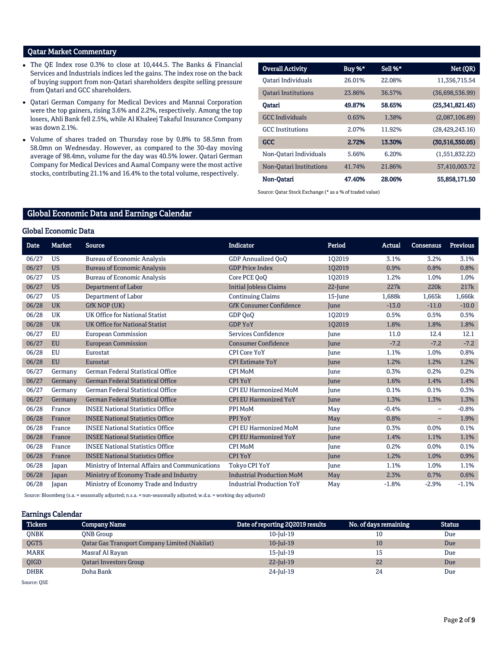## Qatar Market Commentary

- The QE Index rose 0.3% to close at 10,444.5. The Banks & Financial Services and Industrials indices led the gains. The index rose on the back of buying support from non-Qatari shareholders despite selling pressure from Qatari and GCC shareholders.
- Qatari German Company for Medical Devices and Mannai Corporation were the top gainers, rising 3.6% and 2.2%, respectively. Among the top losers, Ahli Bank fell 2.5%, while Al Khaleej Takaful Insurance Company was down 2.1%.
- Volume of shares traded on Thursday rose by 0.8% to 58.5mn from 58.0mn on Wednesday. However, as compared to the 30-day moving average of 98.4mn, volume for the day was 40.5% lower. Qatari German Company for Medical Devices and Aamal Company were the most active stocks, contributing 21.1% and 16.4% to the total volume, respectively.

| <b>Overall Activity</b>        | Buy %* | Sell %* | Net (QR)           |
|--------------------------------|--------|---------|--------------------|
| Oatari Individuals             | 26.01% | 22.08%  | 11,356,715.54      |
| <b>Oatari Institutions</b>     | 23.86% | 36.57%  | (36,698,536.99)    |
| Oatari                         | 49.87% | 58.65%  | (25,341,821.45)    |
| <b>GCC</b> Individuals         | 0.65%  | 1.38%   | (2,087,106.89)     |
| <b>GCC</b> Institutions        | 2.07%  | 11.92%  | (28, 429, 243, 16) |
| <b>GCC</b>                     | 2.72%  | 13.30%  | (30,516,350.05)    |
| Non-Oatari Individuals         | 5.66%  | 6.20%   | (1,551,832.22)     |
| <b>Non-Qatari Institutions</b> | 41.74% | 21.86%  | 57,410,003.72      |
| Non-Oatari                     | 47.40% | 28.06%  | 55.858.171.50      |

Source: Qatar Stock Exchange (\* as a % of traded value)

## Global Economic Data and Earnings Calendar

#### Global Economic Data

| Date  | <b>Market</b> | <b>Source</b>                                   | <b>Indicator</b>                 | Period      | Actual  | <b>Consensus</b>         | <b>Previous</b> |
|-------|---------------|-------------------------------------------------|----------------------------------|-------------|---------|--------------------------|-----------------|
| 06/27 | <b>US</b>     | <b>Bureau of Economic Analysis</b>              | <b>GDP Annualized OoO</b>        | 102019      | 3.1%    | 3.2%                     | 3.1%            |
| 06/27 | <b>US</b>     | <b>Bureau of Economic Analysis</b>              | <b>GDP Price Index</b>           | 102019      | 0.9%    | 0.8%                     | 0.8%            |
| 06/27 | <b>US</b>     | <b>Bureau of Economic Analysis</b>              | Core PCE QoQ                     | 102019      | 1.2%    | 1.0%                     | 1.0%            |
| 06/27 | <b>US</b>     | Department of Labor                             | <b>Initial Jobless Claims</b>    | 22-June     | 227k    | 220k                     | 217k            |
| 06/27 | <b>US</b>     | Department of Labor                             | <b>Continuing Claims</b>         | 15-June     | 1,688k  | 1,665k                   | 1,666k          |
| 06/28 | <b>UK</b>     | <b>GfK NOP (UK)</b>                             | <b>GfK Consumer Confidence</b>   | <b>June</b> | $-13.0$ | $-11.0$                  | $-10.0$         |
| 06/28 | UK            | UK Office for National Statist                  | GDP OoO                          | 102019      | 0.5%    | 0.5%                     | 0.5%            |
| 06/28 | <b>UK</b>     | <b>UK Office for National Statist</b>           | <b>GDP YoY</b>                   | 102019      | 1.8%    | 1.8%                     | 1.8%            |
| 06/27 | EU            | <b>European Commission</b>                      | Services Confidence              | June        | 11.0    | 12.4                     | 12.1            |
| 06/27 | <b>EU</b>     | <b>European Commission</b>                      | <b>Consumer Confidence</b>       | <b>June</b> | $-7.2$  | $-7.2$                   | $-7.2$          |
| 06/28 | <b>EU</b>     | Eurostat                                        | <b>CPI Core YoY</b>              | June        | 1.1%    | 1.0%                     | 0.8%            |
| 06/28 | <b>EU</b>     | Eurostat                                        | <b>CPI Estimate YoY</b>          | June        | 1.2%    | 1.2%                     | 1.2%            |
| 06/27 | Germany       | German Federal Statistical Office               | <b>CPI MoM</b>                   | <b>June</b> | 0.3%    | 0.2%                     | 0.2%            |
| 06/27 | Germany       | <b>German Federal Statistical Office</b>        | <b>CPI YoY</b>                   | <b>June</b> | 1.6%    | 1.4%                     | 1.4%            |
| 06/27 | Germany       | German Federal Statistical Office               | <b>CPI EU Harmonized MoM</b>     | June        | 0.1%    | 0.1%                     | 0.3%            |
| 06/27 | Germany       | <b>German Federal Statistical Office</b>        | <b>CPI EU Harmonized YoY</b>     | June        | 1.3%    | 1.3%                     | 1.3%            |
| 06/28 | France        | <b>INSEE National Statistics Office</b>         | PPI MoM                          | May         | $-0.4%$ | $\overline{\phantom{m}}$ | $-0.8%$         |
| 06/28 | France        | <b>INSEE National Statistics Office</b>         | PPI YoY                          | May         | 0.8%    | -                        | 1.9%            |
| 06/28 | France        | <b>INSEE National Statistics Office</b>         | <b>CPI EU Harmonized MoM</b>     | June        | 0.3%    | 0.0%                     | 0.1%            |
| 06/28 | France        | <b>INSEE National Statistics Office</b>         | <b>CPI EU Harmonized YoY</b>     | <b>June</b> | 1.4%    | 1.1%                     | 1.1%            |
| 06/28 | France        | <b>INSEE National Statistics Office</b>         | <b>CPI MoM</b>                   | June        | 0.2%    | 0.0%                     | 0.1%            |
| 06/28 | France        | <b>INSEE National Statistics Office</b>         | <b>CPI YoY</b>                   | <b>June</b> | 1.2%    | 1.0%                     | 0.9%            |
| 06/28 | Japan         | Ministry of Internal Affairs and Communications | Tokyo CPI YoY                    | June        | 1.1%    | 1.0%                     | 1.1%            |
| 06/28 | Japan         | Ministry of Economy Trade and Industry          | <b>Industrial Production MoM</b> | May         | 2.3%    | 0.7%                     | 0.6%            |
| 06/28 | Japan         | Ministry of Economy Trade and Industry          | <b>Industrial Production YoY</b> | May         | $-1.8%$ | $-2.9%$                  | $-1.1%$         |

Source: Bloomberg (s.a. = seasonally adjusted; n.s.a. = non-seasonally adjusted; w.d.a. = working day adjusted)

### Earnings Calendar

| <b>Tickers</b> | <b>Company Name</b>                                  | Date of reporting 2Q2019 results | No. of days remaining | <b>Status</b> |
|----------------|------------------------------------------------------|----------------------------------|-----------------------|---------------|
| <b>ONBK</b>    | <b>ONB</b> Group                                     | 10-Jul-19                        | 10                    | Due           |
| QGTS           | <b>Qatar Gas Transport Company Limited (Nakilat)</b> | 10-Jul-19                        | 10                    | Due           |
| <b>MARK</b>    | Masraf Al Rayan                                      | 15-Jul-19                        | 15                    | Due           |
| QIGD           | <b>Oatari Investors Group</b>                        | $22$ -Jul-19                     | 22                    | Due           |
| <b>DHBK</b>    | Doha Bank                                            | 24-Jul-19                        | 24                    | Due           |
| Source: OSE    |                                                      |                                  |                       |               |

Page 2 of 9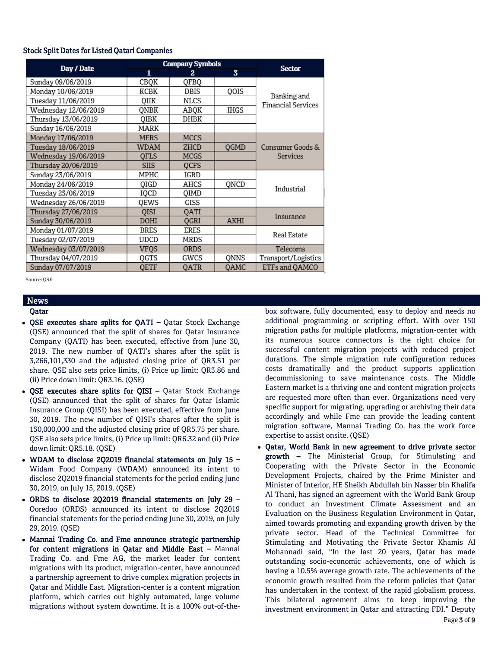## Stock Split Dates for Listed Qatari Companies

|                      |             | <b>Company Symbols</b> |             |                                          |
|----------------------|-------------|------------------------|-------------|------------------------------------------|
| Day / Date           | 1           | 2.                     | 3           | <b>Sector</b>                            |
| Sunday 09/06/2019    | CBQK        | QFBQ                   |             |                                          |
| Monday 10/06/2019    | КСВК        | <b>DBIS</b>            | QOIS        |                                          |
| Tuesday 11/06/2019   | OIIK        | NLCS                   |             | Banking and<br><b>Financial Services</b> |
| Wednesday 12/06/2019 | ONBK        | ABQK                   | <b>IHGS</b> |                                          |
| Thursday 13/06/2019  | OIBK        | <b>DHBK</b>            |             |                                          |
| Sunday 16/06/2019    | MARK        |                        |             |                                          |
| Monday 17/06/2019    | <b>MERS</b> | <b>MCCS</b>            |             |                                          |
| Tuesday 18/06/2019   | WDAM        | ZHCD                   | QGMD        | Consumer Goods &                         |
| Wednesday 19/06/2019 | <b>OFLS</b> | MCGS                   |             | Services                                 |
| Thursday 20/06/2019  | <b>SIIS</b> | <b>OCFS</b>            |             |                                          |
| Sunday 23/06/2019    | MPHC        | IGRD                   |             |                                          |
| Monday 24/06/2019    | QIGD        | AHCS                   | QNCD        | Industrial                               |
| Tuesday 25/06/2019   | IQCD        | OIMD                   |             |                                          |
| Wednesday 26/06/2019 | OEWS        | GISS                   |             |                                          |
| Thursday 27/06/2019  | QISI        | QATI                   |             | Insurance                                |
| Sunday 30/06/2019    | DOHI        | QGRI                   | <b>AKHI</b> |                                          |
| Monday 01/07/2019    | <b>BRES</b> | <b>ERES</b>            |             | Real Estate                              |
| Tuesday 02/07/2019   | <b>UDCD</b> | MRDS                   |             |                                          |
| Wednesday 03/07/2019 | VFQS        | <b>ORDS</b>            |             | Telecoms                                 |
| Thursday 04/07/2019  | QGTS        | GWCS                   | ONNS        | Transport/Logistics                      |
| Sunday 07/07/2019    | QETF        | <b>OATR</b>            | OAMC        | ETFs and QAMCO                           |

Source: QSE

# News

## Qatar

- QSE executes share splits for QATI Qatar Stock Exchange (QSE) announced that the split of shares for Qatar Insurance Company (QATI) has been executed, effective from June 30, 2019. The new number of QATI's shares after the split is 3,266,101,330 and the adjusted closing price of QR3.51 per share. QSE also sets price limits, (i) Price up limit: QR3.86 and (ii) Price down limit: QR3.16. (QSE)
- QSE executes share splits for QISI Qatar Stock Exchange (QSE) announced that the split of shares for Qatar Islamic Insurance Group (QISI) has been executed, effective from June 30, 2019. The new number of QISI's shares after the split is 150,000,000 and the adjusted closing price of QR5.75 per share. QSE also sets price limits, (i) Price up limit: QR6.32 and (ii) Price down limit: QR5.18. (QSE)
- WDAM to disclose 2Q2019 financial statements on July 15 Widam Food Company (WDAM) announced its intent to disclose 2Q2019 financial statements for the period ending June 30, 2019, on July 15, 2019. (QSE)
- ORDS to disclose 2Q2019 financial statements on July 29 Ooredoo (ORDS) announced its intent to disclose 2Q2019 financial statements for the period ending June 30, 2019, on July 29, 2019. (QSE)
- Mannai Trading Co. and Fme announce strategic partnership for content migrations in Qatar and Middle East – Mannai Trading Co. and Fme AG, the market leader for content migrations with its product, migration-center, have announced a partnership agreement to drive complex migration projects in Qatar and Middle East. Migration-center is a content migration platform, which carries out highly automated, large volume migrations without system downtime. It is a 100% out-of-the-

box software, fully documented, easy to deploy and needs no additional programming or scripting effort. With over 150 migration paths for multiple platforms, migration-center with its numerous source connectors is the right choice for successful content migration projects with reduced project durations. The simple migration rule configuration reduces costs dramatically and the product supports application decommissioning to save maintenance costs. The Middle Eastern market is a thriving one and content migration projects are requested more often than ever. Organizations need very specific support for migrating, upgrading or archiving their data accordingly and while Fme can provide the leading content migration software, Mannai Trading Co. has the work force expertise to assist onsite. (QSE)

 Qatar, World Bank in new agreement to drive private sector growth – The Ministerial Group, for Stimulating and Cooperating with the Private Sector in the Economic Development Projects, chaired by the Prime Minister and Minister of Interior, HE Sheikh Abdullah bin Nasser bin Khalifa Al Thani, has signed an agreement with the World Bank Group to conduct an Investment Climate Assessment and an Evaluation on the Business Regulation Environment in Qatar, aimed towards promoting and expanding growth driven by the private sector. Head of the Technical Committee for Stimulating and Motivating the Private Sector Khamis Al Mohannadi said, "In the last 20 years, Qatar has made outstanding socio-economic achievements, one of which is having a 10.5% average growth rate. The achievements of the economic growth resulted from the reform policies that Qatar has undertaken in the context of the rapid globalism process. This bilateral agreement aims to keep improving the investment environment in Qatar and attracting FDI." Deputy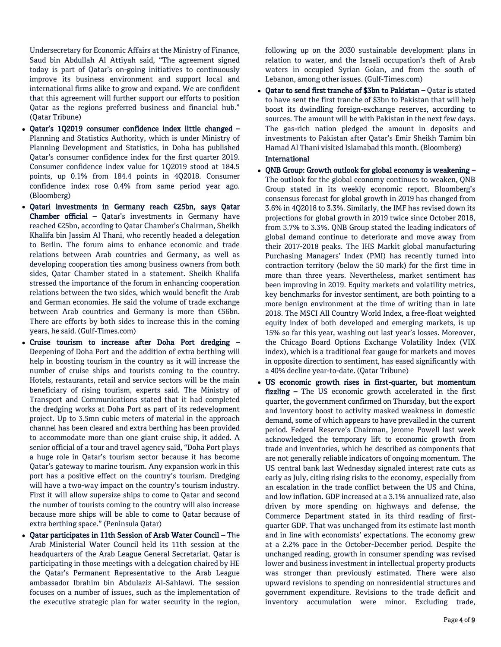Undersecretary for Economic Affairs at the Ministry of Finance, Saud bin Abdullah Al Attiyah said, "The agreement signed today is part of Qatar's on-going initiatives to continuously improve its business environment and support local and international firms alike to grow and expand. We are confident that this agreement will further support our efforts to position Qatar as the regions preferred business and financial hub." (Qatar Tribune)

- Qatar's 1Q2019 consumer confidence index little changed Planning and Statistics Authority, which is under Ministry of Planning Development and Statistics, in Doha has published Qatar's consumer confidence index for the first quarter 2019. Consumer confidence index value for 1Q2019 stood at 184.5 points, up 0.1% from 184.4 points in 4Q2018. Consumer confidence index rose 0.4% from same period year ago. (Bloomberg)
- Qatari investments in Germany reach €25bn, says Qatar Chamber official – Qatar's investments in Germany have reached €25bn, according to Qatar Chamber's Chairman, Sheikh Khalifa bin Jassim Al Thani, who recently headed a delegation to Berlin. The forum aims to enhance economic and trade relations between Arab countries and Germany, as well as developing cooperation ties among business owners from both sides, Qatar Chamber stated in a statement. Sheikh Khalifa stressed the importance of the forum in enhancing cooperation relations between the two sides, which would benefit the Arab and German economies. He said the volume of trade exchange between Arab countries and Germany is more than €56bn. There are efforts by both sides to increase this in the coming years, he said. (Gulf-Times.com)
- Cruise tourism to increase after Doha Port dredging Deepening of Doha Port and the addition of extra berthing will help in boosting tourism in the country as it will increase the number of cruise ships and tourists coming to the country. Hotels, restaurants, retail and service sectors will be the main beneficiary of rising tourism, experts said. The Ministry of Transport and Communications stated that it had completed the dredging works at Doha Port as part of its redevelopment project. Up to 3.5mn cubic meters of material in the approach channel has been cleared and extra berthing has been provided to accommodate more than one giant cruise ship, it added. A senior official of a tour and travel agency said, "Doha Port plays a huge role in Qatar's tourism sector because it has become Qatar's gateway to marine tourism. Any expansion work in this port has a positive effect on the country's tourism. Dredging will have a two-way impact on the country's tourism industry. First it will allow supersize ships to come to Qatar and second the number of tourists coming to the country will also increase because more ships will be able to come to Qatar because of extra berthing space." (Peninsula Qatar)
- Qatar participates in 11th Session of Arab Water Council The Arab Ministerial Water Council held its 11th session at the headquarters of the Arab League General Secretariat. Qatar is participating in those meetings with a delegation chaired by HE the Qatar's Permanent Representative to the Arab League ambassador Ibrahim bin Abdulaziz Al-Sahlawi. The session focuses on a number of issues, such as the implementation of the executive strategic plan for water security in the region,

following up on the 2030 sustainable development plans in relation to water, and the Israeli occupation's theft of Arab waters in occupied Syrian Golan, and from the south of Lebanon, among other issues. (Gulf-Times.com)

 Qatar to send first tranche of \$3bn to Pakistan – Qatar is stated to have sent the first tranche of \$3bn to Pakistan that will help boost its dwindling foreign-exchange reserves, according to sources. The amount will be with Pakistan in the next few days. The gas-rich nation pledged the amount in deposits and investments to Pakistan after Qatar's Emir Sheikh Tamim bin Hamad Al Thani visited Islamabad this month. (Bloomberg)

## International

- QNB Group: Growth outlook for global economy is weakening The outlook for the global economy continues to weaken, QNB Group stated in its weekly economic report. Bloomberg's consensus forecast for global growth in 2019 has changed from 3.6% in 4Q2018 to 3.3%. Similarly, the IMF has revised down its projections for global growth in 2019 twice since October 2018, from 3.7% to 3.3%. QNB Group stated the leading indicators of global demand continue to deteriorate and move away from their 2017-2018 peaks. The IHS Markit global manufacturing Purchasing Managers' Index (PMI) has recently turned into contraction territory (below the 50 mark) for the first time in more than three years. Nevertheless, market sentiment has been improving in 2019. Equity markets and volatility metrics, key benchmarks for investor sentiment, are both pointing to a more benign environment at the time of writing than in late 2018. The MSCI All Country World Index, a free-float weighted equity index of both developed and emerging markets, is up 15% so far this year, washing out last year's losses. Moreover, the Chicago Board Options Exchange Volatility Index (VIX index), which is a traditional fear gauge for markets and moves in opposite direction to sentiment, has eased significantly with a 40% decline year-to-date. (Qatar Tribune)
- US economic growth rises in first-quarter, but momentum fizzling – The US economic growth accelerated in the first quarter, the government confirmed on Thursday, but the export and inventory boost to activity masked weakness in domestic demand, some of which appears to have prevailed in the current period. Federal Reserve's Chairman, Jerome Powell last week acknowledged the temporary lift to economic growth from trade and inventories, which he described as components that are not generally reliable indicators of ongoing momentum. The US central bank last Wednesday signaled interest rate cuts as early as July, citing rising risks to the economy, especially from an escalation in the trade conflict between the US and China, and low inflation. GDP increased at a 3.1% annualized rate, also driven by more spending on highways and defense, the Commerce Department stated in its third reading of firstquarter GDP. That was unchanged from its estimate last month and in line with economists' expectations. The economy grew at a 2.2% pace in the October-December period. Despite the unchanged reading, growth in consumer spending was revised lower and business investment in intellectual property products was stronger than previously estimated. There were also upward revisions to spending on nonresidential structures and government expenditure. Revisions to the trade deficit and inventory accumulation were minor. Excluding trade,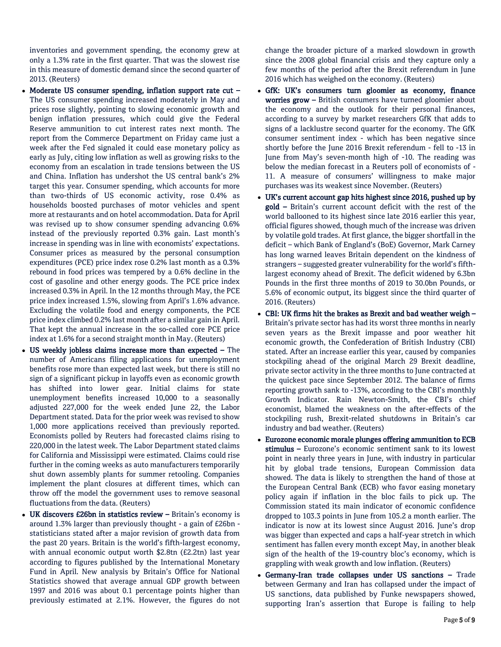inventories and government spending, the economy grew at only a 1.3% rate in the first quarter. That was the slowest rise in this measure of domestic demand since the second quarter of 2013. (Reuters)

- Moderate US consumer spending, inflation support rate cut  $-$ The US consumer spending increased moderately in May and prices rose slightly, pointing to slowing economic growth and benign inflation pressures, which could give the Federal Reserve ammunition to cut interest rates next month. The report from the Commerce Department on Friday came just a week after the Fed signaled it could ease monetary policy as early as July, citing low inflation as well as growing risks to the economy from an escalation in trade tensions between the US and China. Inflation has undershot the US central bank's 2% target this year. Consumer spending, which accounts for more than two-thirds of US economic activity, rose 0.4% as households boosted purchases of motor vehicles and spent more at restaurants and on hotel accommodation. Data for April was revised up to show consumer spending advancing 0.6% instead of the previously reported 0.3% gain. Last month's increase in spending was in line with economists' expectations. Consumer prices as measured by the personal consumption expenditures (PCE) price index rose 0.2% last month as a 0.3% rebound in food prices was tempered by a 0.6% decline in the cost of gasoline and other energy goods. The PCE price index increased 0.3% in April. In the 12 months through May, the PCE price index increased 1.5%, slowing from April's 1.6% advance. Excluding the volatile food and energy components, the PCE price index climbed 0.2% last month after a similar gain in April. That kept the annual increase in the so-called core PCE price index at 1.6% for a second straight month in May. (Reuters)
- US weekly jobless claims increase more than expected The number of Americans filing applications for unemployment benefits rose more than expected last week, but there is still no sign of a significant pickup in layoffs even as economic growth has shifted into lower gear. Initial claims for state unemployment benefits increased 10,000 to a seasonally adjusted 227,000 for the week ended June 22, the Labor Department stated. Data for the prior week was revised to show 1,000 more applications received than previously reported. Economists polled by Reuters had forecasted claims rising to 220,000 in the latest week. The Labor Department stated claims for California and Mississippi were estimated. Claims could rise further in the coming weeks as auto manufacturers temporarily shut down assembly plants for summer retooling. Companies implement the plant closures at different times, which can throw off the model the government uses to remove seasonal fluctuations from the data. (Reuters)
- UK discovers £26bn in statistics review Britain's economy is around 1.3% larger than previously thought - a gain of £26bn statisticians stated after a major revision of growth data from the past 20 years. Britain is the world's fifth-largest economy, with annual economic output worth \$2.8tn (£2.2tn) last year according to figures published by the International Monetary Fund in April. New analysis by Britain's Office for National Statistics showed that average annual GDP growth between 1997 and 2016 was about 0.1 percentage points higher than previously estimated at 2.1%. However, the figures do not

change the broader picture of a marked slowdown in growth since the 2008 global financial crisis and they capture only a few months of the period after the Brexit referendum in June 2016 which has weighed on the economy. (Reuters)

- GfK: UK's consumers turn gloomier as economy, finance worries grow – British consumers have turned gloomier about the economy and the outlook for their personal finances, according to a survey by market researchers GfK that adds to signs of a lacklustre second quarter for the economy. The GfK consumer sentiment index - which has been negative since shortly before the June 2016 Brexit referendum - fell to -13 in June from May's seven-month high of -10. The reading was below the median forecast in a Reuters poll of economists of - 11. A measure of consumers' willingness to make major purchases was its weakest since November. (Reuters)
- UK's current account gap hits highest since 2016, pushed up by gold – Britain's current account deficit with the rest of the world ballooned to its highest since late 2016 earlier this year, official figures showed, though much of the increase was driven by volatile gold trades. At first glance, the bigger shortfall in the deficit – which Bank of England's (BoE) Governor, Mark Carney has long warned leaves Britain dependent on the kindness of strangers – suggested greater vulnerability for the world's fifthlargest economy ahead of Brexit. The deficit widened by 6.3bn Pounds in the first three months of 2019 to 30.0bn Pounds, or 5.6% of economic output, its biggest since the third quarter of 2016. (Reuters)
- CBI: UK firms hit the brakes as Brexit and bad weather weigh Britain's private sector has had its worst three months in nearly seven years as the Brexit impasse and poor weather hit economic growth, the Confederation of British Industry (CBI) stated. After an increase earlier this year, caused by companies stockpiling ahead of the original March 29 Brexit deadline, private sector activity in the three months to June contracted at the quickest pace since September 2012. The balance of firms reporting growth sank to -13%, according to the CBI's monthly Growth Indicator. Rain Newton-Smith, the CBI's chief economist, blamed the weakness on the after-effects of the stockpiling rush, Brexit-related shutdowns in Britain's car industry and bad weather. (Reuters)
- Eurozone economic morale plunges offering ammunition to ECB stimulus – Eurozone's economic sentiment sank to its lowest point in nearly three years in June, with industry in particular hit by global trade tensions, European Commission data showed. The data is likely to strengthen the hand of those at the European Central Bank (ECB) who favor easing monetary policy again if inflation in the bloc fails to pick up. The Commission stated its main indicator of economic confidence dropped to 103.3 points in June from 105.2 a month earlier. The indicator is now at its lowest since August 2016. June's drop was bigger than expected and caps a half-year stretch in which sentiment has fallen every month except May, in another bleak sign of the health of the 19-country bloc's economy, which is grappling with weak growth and low inflation. (Reuters)
- Germany-Iran trade collapses under US sanctions Trade between Germany and Iran has collapsed under the impact of US sanctions, data published by Funke newspapers showed, supporting Iran's assertion that Europe is failing to help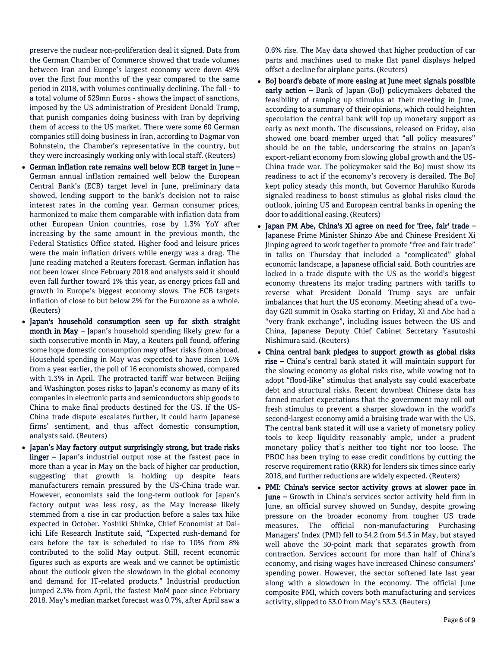preserve the nuclear non-proliferation deal it signed. Data from the German Chamber of Commerce showed that trade volumes between Iran and Europe's largest economy were down 49% over the first four months of the year compared to the same period in 2018, with volumes continually declining. The fall - to a total volume of 529mn Euros - shows the impact of sanctions, imposed by the US administration of President Donald Trump, that punish companies doing business with Iran by depriving them of access to the US market. There were some 60 German companies still doing business in Iran, according to Dagmar von Bohnstein, the Chamber's representative in the country, but they were increasingly working only with local staff. (Reuters)

- German inflation rate remains well below ECB target in June German annual inflation remained well below the European Central Bank's (ECB) target level in June, preliminary data showed, lending support to the bank's decision not to raise interest rates in the coming year. German consumer prices, harmonized to make them comparable with inflation data from other European Union countries, rose by 1.3% YoY after increasing by the same amount in the previous month, the Federal Statistics Office stated. Higher food and leisure prices were the main inflation drivers while energy was a drag. The June reading matched a Reuters forecast. German inflation has not been lower since February 2018 and analysts said it should even fall further toward 1% this year, as energy prices fall and growth in Europe's biggest economy slows. The ECB targets inflation of close to but below 2% for the Eurozone as a whole. (Reuters)
- Japan's household consumption seen up for sixth straight month in May – Japan's household spending likely grew for a sixth consecutive month in May, a Reuters poll found, offering some hope domestic consumption may offset risks from abroad. Household spending in May was expected to have risen 1.6% from a year earlier, the poll of 16 economists showed, compared with 1.3% in April. The protracted tariff war between Beijing and Washington poses risks to Japan's economy as many of its companies in electronic parts and semiconductors ship goods to China to make final products destined for the US. If the US-China trade dispute escalates further, it could harm Japanese firms' sentiment, and thus affect domestic consumption, analysts said. (Reuters)
- Japan's May factory output surprisingly strong, but trade risks linger – Japan's industrial output rose at the fastest pace in more than a year in May on the back of higher car production, suggesting that growth is holding up despite fears manufacturers remain pressured by the US-China trade war. However, economists said the long-term outlook for Japan's factory output was less rosy, as the May increase likely stemmed from a rise in car production before a sales tax hike expected in October. Yoshiki Shinke, Chief Economist at Daiichi Life Research Institute said, "Expected rush-demand for cars before the tax is scheduled to rise to 10% from 8% contributed to the solid May output. Still, recent economic figures such as exports are weak and we cannot be optimistic about the outlook given the slowdown in the global economy and demand for IT-related products." Industrial production jumped 2.3% from April, the fastest MoM pace since February 2018. May's median market forecast was 0.7%, after April saw a

0.6% rise. The May data showed that higher production of car parts and machines used to make flat panel displays helped offset a decline for airplane parts. (Reuters)

- BoJ board's debate of more easing at June meet signals possible early action - Bank of Japan (BoJ) policymakers debated the feasibility of ramping up stimulus at their meeting in June, according to a summary of their opinions, which could heighten speculation the central bank will top up monetary support as early as next month. The discussions, released on Friday, also showed one board member urged that "all policy measures" should be on the table, underscoring the strains on Japan's export-reliant economy from slowing global growth and the US-China trade war. The policymaker said the BoJ must show its readiness to act if the economy's recovery is derailed. The BoJ kept policy steady this month, but Governor Haruhiko Kuroda signaled readiness to boost stimulus as global risks cloud the outlook, joining US and European central banks in opening the door to additional easing. (Reuters)
- Japan PM Abe, China's Xi agree on need for 'free, fair' trade Japanese Prime Minister Shinzo Abe and Chinese President Xi Jinping agreed to work together to promote "free and fair trade" in talks on Thursday that included a "complicated" global economic landscape, a Japanese official said. Both countries are locked in a trade dispute with the US as the world's biggest economy threatens its major trading partners with tariffs to reverse what President Donald Trump says are unfair imbalances that hurt the US economy. Meeting ahead of a twoday G20 summit in Osaka starting on Friday, Xi and Abe had a "very frank exchange", including issues between the US and China, Japanese Deputy Chief Cabinet Secretary Yasutoshi Nishimura said. (Reuters)
- China central bank pledges to support growth as global risks rise – China's central bank stated it will maintain support for the slowing economy as global risks rise, while vowing not to adopt "flood-like" stimulus that analysts say could exacerbate debt and structural risks. Recent downbeat Chinese data has fanned market expectations that the government may roll out fresh stimulus to prevent a sharper slowdown in the world's second-largest economy amid a bruising trade war with the US. The central bank stated it will use a variety of monetary policy tools to keep liquidity reasonably ample, under a prudent monetary policy that's neither too tight nor too loose. The PBOC has been trying to ease credit conditions by cutting the reserve requirement ratio (RRR) for lenders six times since early 2018, and further reductions are widely expected. (Reuters)
- PMI: China's service sector activity grows at slower pace in June – Growth in China's services sector activity held firm in June, an official survey showed on Sunday, despite growing pressure on the broader economy from tougher US trade measures. The official non-manufacturing Purchasing Managers' Index (PMI) fell to 54.2 from 54.3 in May, but stayed well above the 50-point mark that separates growth from contraction. Services account for more than half of China's economy, and rising wages have increased Chinese consumers' spending power. However, the sector softened late last year along with a slowdown in the economy. The official June composite PMI, which covers both manufacturing and services activity, slipped to 53.0 from May's 53.3. (Reuters)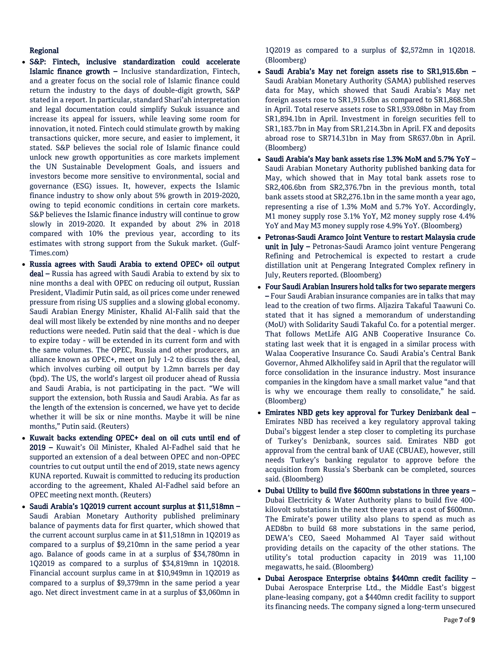## Regional

- S&P: Fintech, inclusive standardization could accelerate Islamic finance growth – Inclusive standardization, Fintech, and a greater focus on the social role of Islamic finance could return the industry to the days of double-digit growth, S&P stated in a report. In particular, standard Shari'ah interpretation and legal documentation could simplify Sukuk issuance and increase its appeal for issuers, while leaving some room for innovation, it noted. Fintech could stimulate growth by making transactions quicker, more secure, and easier to implement, it stated. S&P believes the social role of Islamic finance could unlock new growth opportunities as core markets implement the UN Sustainable Development Goals, and issuers and investors become more sensitive to environmental, social and governance (ESG) issues. It, however, expects the Islamic finance industry to show only about 5% growth in 2019-2020, owing to tepid economic conditions in certain core markets. S&P believes the Islamic finance industry will continue to grow slowly in 2019-2020. It expanded by about 2% in 2018 compared with 10% the previous year, according to its estimates with strong support from the Sukuk market. (Gulf-Times.com)
- Russia agrees with Saudi Arabia to extend OPEC+ oil output deal – Russia has agreed with Saudi Arabia to extend by six to nine months a deal with OPEC on reducing oil output, Russian President, Vladimir Putin said, as oil prices come under renewed pressure from rising US supplies and a slowing global economy. Saudi Arabian Energy Minister, Khalid Al-Falih said that the deal will most likely be extended by nine months and no deeper reductions were needed. Putin said that the deal - which is due to expire today - will be extended in its current form and with the same volumes. The OPEC, Russia and other producers, an alliance known as OPEC+, meet on July 1-2 to discuss the deal, which involves curbing oil output by 1.2mn barrels per day (bpd). The US, the world's largest oil producer ahead of Russia and Saudi Arabia, is not participating in the pact. "We will support the extension, both Russia and Saudi Arabia. As far as the length of the extension is concerned, we have yet to decide whether it will be six or nine months. Maybe it will be nine months," Putin said. (Reuters)
- Kuwait backs extending OPEC+ deal on oil cuts until end of 2019 – Kuwait's Oil Minister, Khaled Al-Fadhel said that he supported an extension of a deal between OPEC and non-OPEC countries to cut output until the end of 2019, state news agency KUNA reported. Kuwait is committed to reducing its production according to the agreement, Khaled Al-Fadhel said before an OPEC meeting next month. (Reuters)
- Saudi Arabia's 1Q2019 current account surplus at \$11,518mn Saudi Arabian Monetary Authority published preliminary balance of payments data for first quarter, which showed that the current account surplus came in at \$11,518mn in 1Q2019 as compared to a surplus of \$9,210mn in the same period a year ago. Balance of goods came in at a surplus of \$34,780mn in 1Q2019 as compared to a surplus of \$34,819mn in 1Q2018. Financial account surplus came in at \$10,949mn in 1Q2019 as compared to a surplus of \$9,379mn in the same period a year ago. Net direct investment came in at a surplus of \$3,060mn in

1Q2019 as compared to a surplus of \$2,572mn in 1Q2018. (Bloomberg)

- Saudi Arabia's May net foreign assets rise to SR1,915.6bn Saudi Arabian Monetary Authority (SAMA) published reserves data for May, which showed that Saudi Arabia's May net foreign assets rose to SR1,915.6bn as compared to SR1,868.5bn in April. Total reserve assets rose to SR1,939.08bn in May from SR1,894.1bn in April. Investment in foreign securities fell to SR1,183.7bn in May from SR1,214.3bn in April. FX and deposits abroad rose to SR714.31bn in May from SR637.0bn in April. (Bloomberg)
- Saudi Arabia's May bank assets rise 1.3% MoM and 5.7% YoY Saudi Arabian Monetary Authority published banking data for May, which showed that in May total bank assets rose to SR2,406.6bn from SR2,376.7bn in the previous month, total bank assets stood at SR2,276.1bn in the same month a year ago, representing a rise of 1.3% MoM and 5.7% YoY. Accordingly, M1 money supply rose 3.1% YoY, M2 money supply rose 4.4% YoY and May M3 money supply rose 4.9% YoY. (Bloomberg)
- Petronas-Saudi Aramco Joint Venture to restart Malaysia crude unit in July - Petronas-Saudi Aramco joint venture Pengerang Refining and Petrochemical is expected to restart a crude distillation unit at Pengerang Integrated Complex refinery in July, Reuters reported. (Bloomberg)
- Four Saudi Arabian Insurers hold talks for two separate mergers – Four Saudi Arabian insurance companies are in talks that may lead to the creation of two firms. Aljazira Takaful Taawuni Co. stated that it has signed a memorandum of understanding (MoU) with Solidarity Saudi Takaful Co. for a potential merger. That follows MetLife AIG ANB Cooperative Insurance Co. stating last week that it is engaged in a similar process with Walaa Cooperative Insurance Co. Saudi Arabia's Central Bank Governor, Ahmed Alkholifey said in April that the regulator will force consolidation in the insurance industry. Most insurance companies in the kingdom have a small market value "and that is why we encourage them really to consolidate," he said. (Bloomberg)
- Emirates NBD gets key approval for Turkey Denizbank deal Emirates NBD has received a key regulatory approval taking Dubai's biggest lender a step closer to completing its purchase of Turkey's Denizbank, sources said. Emirates NBD got approval from the central bank of UAE (CBUAE), however, still needs Turkey's banking regulator to approve before the acquisition from Russia's Sberbank can be completed, sources said. (Bloomberg)
- Dubai Utility to build five \$600mn substations in three years Dubai Electricity & Water Authority plans to build five 400 kilovolt substations in the next three years at a cost of \$600mn. The Emirate's power utility also plans to spend as much as AED8bn to build 68 more substations in the same period, DEWA's CEO, Saeed Mohammed Al Tayer said without providing details on the capacity of the other stations. The utility's total production capacity in 2019 was 11,100 megawatts, he said. (Bloomberg)
- Dubai Aerospace Enterprise obtains \$440mn credit facility Dubai Aerospace Enterprise Ltd., the Middle East's biggest plane-leasing company, got a \$440mn credit facility to support its financing needs. The company signed a long-term unsecured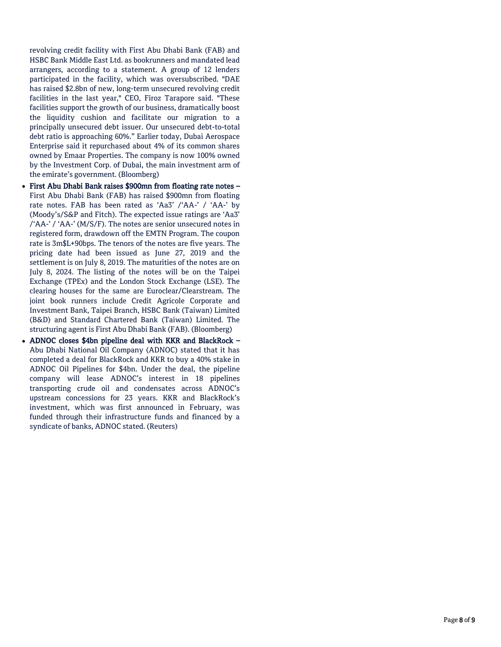revolving credit facility with First Abu Dhabi Bank (FAB) and HSBC Bank Middle East Ltd. as bookrunners and mandated lead arrangers, according to a statement. A group of 12 lenders participated in the facility, which was oversubscribed. "DAE has raised \$2.8bn of new, long-term unsecured revolving credit facilities in the last year," CEO, Firoz Tarapore said. "These facilities support the growth of our business, dramatically boost the liquidity cushion and facilitate our migration to a principally unsecured debt issuer. Our unsecured debt-to-total debt ratio is approaching 60%." Earlier today, Dubai Aerospace Enterprise said it repurchased about 4% of its common shares owned by Emaar Properties. The company is now 100% owned by the Investment Corp. of Dubai, the main investment arm of the emirate's government. (Bloomberg)

- First Abu Dhabi Bank raises \$900mn from floating rate notes First Abu Dhabi Bank (FAB) has raised \$900mn from floating rate notes. FAB has been rated as 'Aa3' /'AA-' / 'AA-' by (Moody's/S&P and Fitch). The expected issue ratings are 'Aa3' /'AA-' / 'AA-' (M/S/F). The notes are senior unsecured notes in registered form, drawdown off the EMTN Program. The coupon rate is 3m\$L+90bps. The tenors of the notes are five years. The pricing date had been issued as June 27, 2019 and the settlement is on July 8, 2019. The maturities of the notes are on July 8, 2024. The listing of the notes will be on the Taipei Exchange (TPEx) and the London Stock Exchange (LSE). The clearing houses for the same are Euroclear/Clearstream. The joint book runners include Credit Agricole Corporate and Investment Bank, Taipei Branch, HSBC Bank (Taiwan) Limited (B&D) and Standard Chartered Bank (Taiwan) Limited. The structuring agent is First Abu Dhabi Bank (FAB). (Bloomberg)
- ADNOC closes \$4bn pipeline deal with KKR and BlackRock Abu Dhabi National Oil Company (ADNOC) stated that it has completed a deal for BlackRock and KKR to buy a 40% stake in ADNOC Oil Pipelines for \$4bn. Under the deal, the pipeline company will lease ADNOC's interest in 18 pipelines transporting crude oil and condensates across ADNOC's upstream concessions for 23 years. KKR and BlackRock's investment, which was first announced in February, was funded through their infrastructure funds and financed by a syndicate of banks, ADNOC stated. (Reuters)